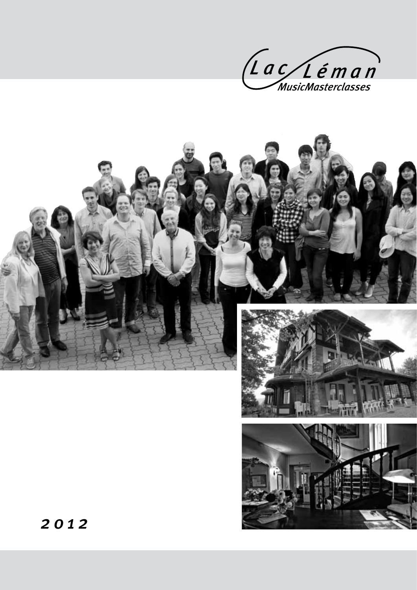



2 0 1 2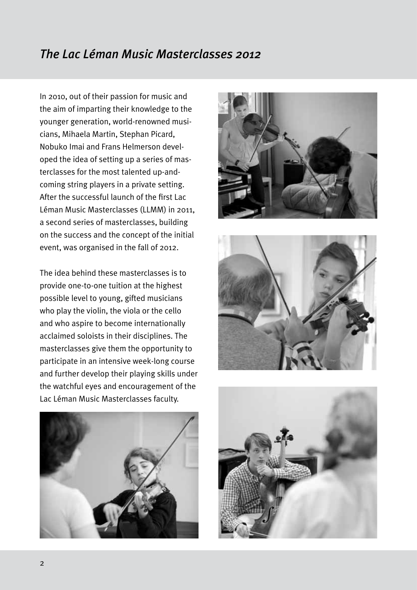## *The Lac Léman Music Masterclasses 2012*

In 2010, out of their passion for music and the aim of imparting their knowledge to the younger generation, world-renowned musicians, Mihaela Martin, Stephan Picard, Nobuko Imai and Frans Helmerson developed the idea of setting up a series of masterclasses for the most talented up-andcoming string players in a private setting. After the successful launch of the first Lac Léman Music Masterclasses (LLMM) in 2011, a second series of masterclasses, building on the success and the concept of the initial event, was organised in the fall of 2012.

The idea behind these masterclasses is to provide one-to-one tuition at the highest possible level to young, gifted musicians who play the violin, the viola or the cello and who aspire to become internationally acclaimed soloists in their disciplines. The masterclasses give them the opportunity to participate in an intensive week-long course and further develop their playing skills under the watchful eyes and encouragement of the Lac Léman Music Masterclasses faculty.







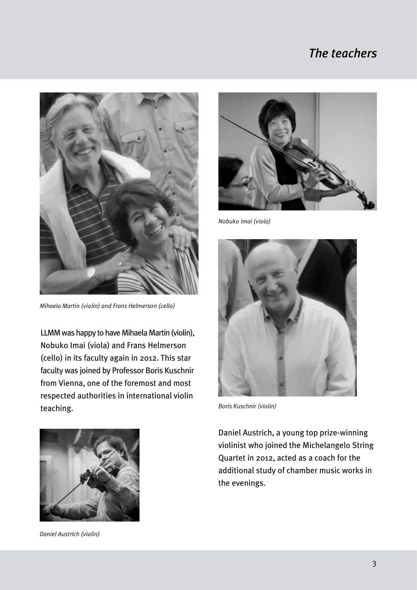## *The teachers*



*Mihaela Martin (violin) and Frans Helmerson (cello)*

LLMM was happy to have Mihaela Martin (violin), Nobuko Imai (viola) and Frans Helmerson (cello) in its faculty again in 2012. This star faculty was joined by Professor Boris Kuschnir from Vienna, one of the foremost and most respected authorities in international violin teaching. *Boris Kuschnir (violin)*



*Daniel Austrich (violin)*



*Nobuko Imai (viola)*



Daniel Austrich, a young top prize-winning violinist who joined the Michelangelo String Quartet in 2012, acted as a coach for the additional study of chamber music works in the evenings.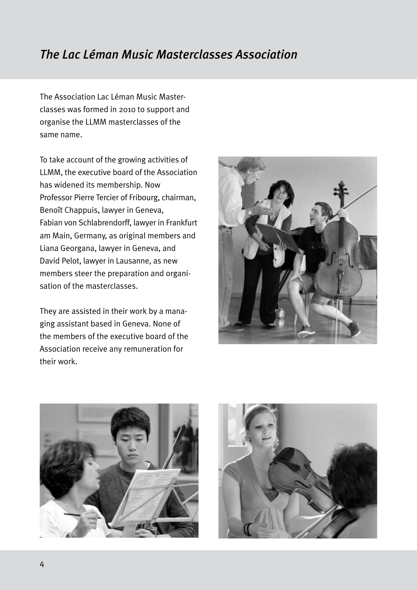## *The Lac Léman Music Masterclasses Association*

The Association Lac Léman Music Masterclasses was formed in 2010 to support and organise the LLMM masterclasses of the same name.

To take account of the growing activities of LLMM, the executive board of the Association has widened its membership. Now Professor Pierre Tercier of Fribourg, chairman, Benoît Chappuis, lawyer in Geneva, Fabian von Schlabrendorff, lawyer in Frankfurt am Main, Germany, as original members and Liana Georgana, lawyer in Geneva, and David Pelot, lawyer in Lausanne, as new members steer the preparation and organisation of the masterclasses.

They are assisted in their work by a managing assistant based in Geneva. None of the members of the executive board of the Association receive any remuneration for their work.





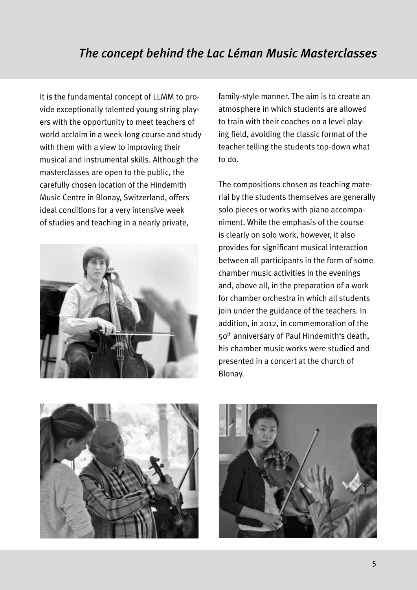It is the fundamental concept of LLMM to provide exceptionally talented young string players with the opportunity to meet teachers of world acclaim in a week-long course and study with them with a view to improving their musical and instrumental skills. Although the masterclasses are open to the public, the carefully chosen location of the Hindemith Music Centre in Blonay, Switzerland, offers ideal conditions for a very intensive week of studies and teaching in a nearly private,



family-style manner. The aim is to create an atmosphere in which students are allowed to train with their coaches on a level playing field, avoiding the classic format of the teacher telling the students top-down what to do.

The compositions chosen as teaching material by the students themselves are generally solo pieces or works with piano accompaniment. While the emphasis of the course is clearly on solo work, however, it also provides for significant musical interaction between all participants in the form of some chamber music activities in the evenings and, above all, in the preparation of a work for chamber orchestra in which all students join under the guidance of the teachers. In addition, in 2012, in commemoration of the 50th anniversary of Paul Hindemith's death, his chamber music works were studied and presented in a concert at the church of Blonay.



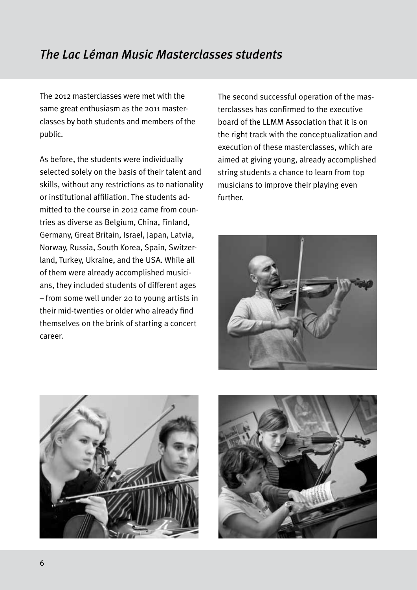## *The Lac Léman Music Masterclasses students*

The 2012 masterclasses were met with the same great enthusiasm as the 2011 masterclasses by both students and members of the public.

As before, the students were individually selected solely on the basis of their talent and skills, without any restrictions as to nationality or institutional affiliation. The students admitted to the course in 2012 came from countries as diverse as Belgium, China, Finland, Germany, Great Britain, Israel, Japan, Latvia, Norway, Russia, South Korea, Spain, Switzerland, Turkey, Ukraine, and the USA. While all of them were already accomplished musicians, they included students of different ages – from some well under 20 to young artists in their mid-twenties or older who already find themselves on the brink of starting a concert career.

The second successful operation of the masterclasses has confirmed to the executive board of the LLMM Association that it is on the right track with the conceptualization and execution of these masterclasses, which are aimed at giving young, already accomplished string students a chance to learn from top musicians to improve their playing even further.





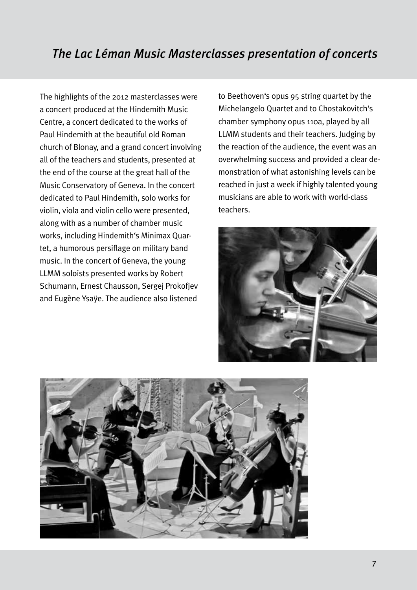The highlights of the 2012 masterclasses were a concert produced at the Hindemith Music Centre, a concert dedicated to the works of Paul Hindemith at the beautiful old Roman church of Blonay, and a grand concert involving all of the teachers and students, presented at the end of the course at the great hall of the Music Conservatory of Geneva. In the concert dedicated to Paul Hindemith, solo works for violin, viola and violin cello were presented, along with as a number of chamber music works, including Hindemith's Minimax Quartet, a humorous persiflage on military band music. In the concert of Geneva, the young LLMM soloists presented works by Robert Schumann, Ernest Chausson, Sergej Prokofjev and Eugène Ysaÿe. The audience also listened

to Beethoven's opus 95 string quartet by the Michelangelo Quartet and to Chostakovitch's chamber symphony opus 110a, played by all LLMM students and their teachers. Judging by the reaction of the audience, the event was an overwhelming success and provided a clear demonstration of what astonishing levels can be reached in just a week if highly talented young musicians are able to work with world-class teachers.